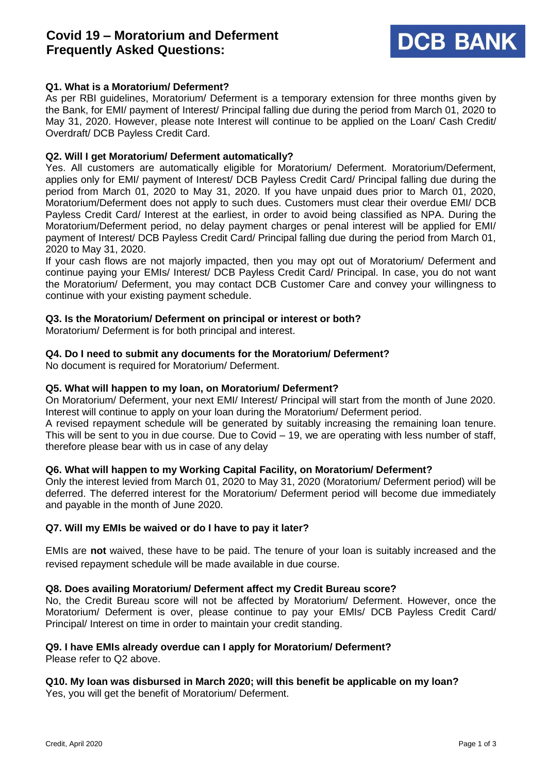# **Covid 19 – Moratorium and Deferment Frequently Asked Questions:**



# **Q1. What is a Moratorium/ Deferment?**

As per RBI guidelines, Moratorium/ Deferment is a temporary extension for three months given by the Bank, for EMI/ payment of Interest/ Principal falling due during the period from March 01, 2020 to May 31, 2020. However, please note Interest will continue to be applied on the Loan/ Cash Credit/ Overdraft/ DCB Payless Credit Card.

#### **Q2. Will I get Moratorium/ Deferment automatically?**

Yes. All customers are automatically eligible for Moratorium/ Deferment. Moratorium/Deferment, applies only for EMI/ payment of Interest/ DCB Payless Credit Card/ Principal falling due during the period from March 01, 2020 to May 31, 2020. If you have unpaid dues prior to March 01, 2020, Moratorium/Deferment does not apply to such dues. Customers must clear their overdue EMI/ DCB Payless Credit Card/ Interest at the earliest, in order to avoid being classified as NPA. During the Moratorium/Deferment period, no delay payment charges or penal interest will be applied for EMI/ payment of Interest/ DCB Payless Credit Card/ Principal falling due during the period from March 01, 2020 to May 31, 2020.

If your cash flows are not majorly impacted, then you may opt out of Moratorium/ Deferment and continue paying your EMIs/ Interest/ DCB Payless Credit Card/ Principal. In case, you do not want the Moratorium/ Deferment, you may contact DCB Customer Care and convey your willingness to continue with your existing payment schedule.

#### **Q3. Is the Moratorium/ Deferment on principal or interest or both?**

Moratorium/ Deferment is for both principal and interest.

### **Q4. Do I need to submit any documents for the Moratorium/ Deferment?**

No document is required for Moratorium/ Deferment.

#### **Q5. What will happen to my loan, on Moratorium/ Deferment?**

On Moratorium/ Deferment, your next EMI/ Interest/ Principal will start from the month of June 2020. Interest will continue to apply on your loan during the Moratorium/ Deferment period.

A revised repayment schedule will be generated by suitably increasing the remaining loan tenure. This will be sent to you in due course. Due to Covid – 19, we are operating with less number of staff, therefore please bear with us in case of any delay

#### **Q6. What will happen to my Working Capital Facility, on Moratorium/ Deferment?**

Only the interest levied from March 01, 2020 to May 31, 2020 (Moratorium/ Deferment period) will be deferred. The deferred interest for the Moratorium/ Deferment period will become due immediately and payable in the month of June 2020.

#### **Q7. Will my EMIs be waived or do I have to pay it later?**

EMIs are **not** waived, these have to be paid. The tenure of your loan is suitably increased and the revised repayment schedule will be made available in due course.

#### **Q8. Does availing Moratorium/ Deferment affect my Credit Bureau score?**

No, the Credit Bureau score will not be affected by Moratorium/ Deferment. However, once the Moratorium/ Deferment is over, please continue to pay your EMIs/ DCB Payless Credit Card/ Principal/ Interest on time in order to maintain your credit standing.

# **Q9. I have EMIs already overdue can I apply for Moratorium/ Deferment?**

Please refer to Q2 above.

### **Q10. My loan was disbursed in March 2020; will this benefit be applicable on my loan?**  Yes, you will get the benefit of Moratorium/ Deferment.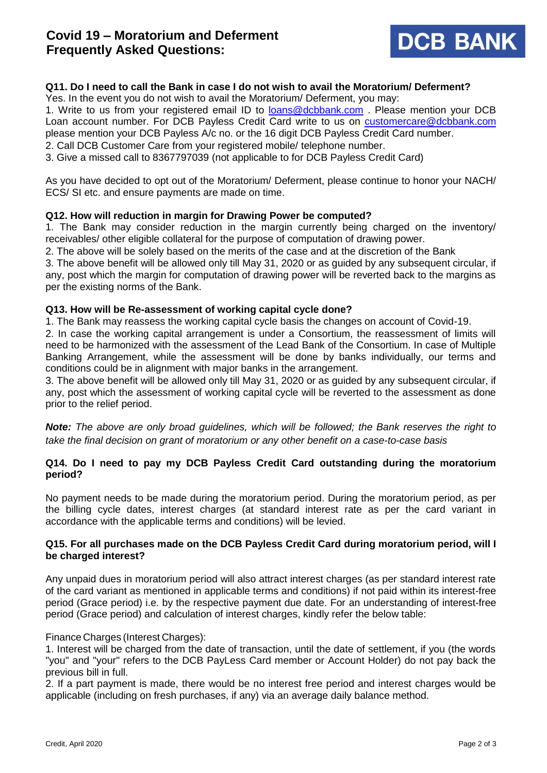# **Covid 19 – Moratorium and Deferment Frequently Asked Questions:**



## **Q11. Do I need to call the Bank in case I do not wish to avail the Moratorium/ Deferment?**

Yes. In the event you do not wish to avail the Moratorium/ Deferment, you may:

1. Write to us from your registered email ID to [loans@dcbbank.com](mailto:loans@dcbbank.com) . Please mention your DCB Loan account number. For DCB Payless Credit Card write to us on [customercare@dcbbank.com](mailto:customercare@dcbbank.com) please mention your DCB Payless A/c no. or the 16 digit DCB Payless Credit Card number.

2. Call DCB Customer Care from your registered mobile/ telephone number.

3. Give a missed call to 8367797039 (not applicable to for DCB Payless Credit Card)

As you have decided to opt out of the Moratorium/ Deferment, please continue to honor your NACH/ ECS/ SI etc. and ensure payments are made on time.

### **Q12. How will reduction in margin for Drawing Power be computed?**

1. The Bank may consider reduction in the margin currently being charged on the inventory/ receivables/ other eligible collateral for the purpose of computation of drawing power.

2. The above will be solely based on the merits of the case and at the discretion of the Bank

3. The above benefit will be allowed only till May 31, 2020 or as guided by any subsequent circular, if any, post which the margin for computation of drawing power will be reverted back to the margins as per the existing norms of the Bank.

### **Q13. How will be Re-assessment of working capital cycle done?**

1. The Bank may reassess the working capital cycle basis the changes on account of Covid-19.

2. In case the working capital arrangement is under a Consortium, the reassessment of limits will need to be harmonized with the assessment of the Lead Bank of the Consortium. In case of Multiple Banking Arrangement, while the assessment will be done by banks individually, our terms and conditions could be in alignment with major banks in the arrangement.

3. The above benefit will be allowed only till May 31, 2020 or as guided by any subsequent circular, if any, post which the assessment of working capital cycle will be reverted to the assessment as done prior to the relief period.

*Note: The above are only broad guidelines, which will be followed; the Bank reserves the right to take the final decision on grant of moratorium or any other benefit on a case-to-case basis*

### **Q14. Do I need to pay my DCB Payless Credit Card outstanding during the moratorium period?**

No payment needs to be made during the moratorium period. During the moratorium period, as per the billing cycle dates, interest charges (at standard interest rate as per the card variant in accordance with the applicable terms and conditions) will be levied.

### **Q15. For all purchases made on the DCB Payless Credit Card during moratorium period, will I be charged interest?**

Any unpaid dues in moratorium period will also attract interest charges (as per standard interest rate of the card variant as mentioned in applicable terms and conditions) if not paid within its interest-free period (Grace period) i.e. by the respective payment due date. For an understanding of interest-free period (Grace period) and calculation of interest charges, kindly refer the below table:

#### Finance Charges (Interest Charges):

1. Interest will be charged from the date of transaction, until the date of settlement, if you (the words "you" and "your" refers to the DCB PayLess Card member or Account Holder) do not pay back the previous bill in full.

2. If a part payment is made, there would be no interest free period and interest charges would be applicable (including on fresh purchases, if any) via an average daily balance method.